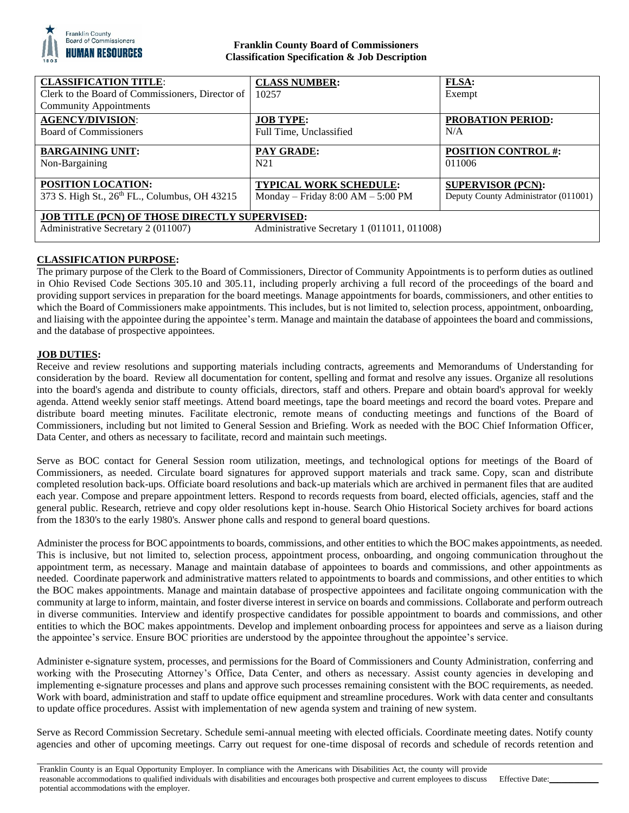

## **Franklin County Board of Commissioners Classification Specification & Job Description**

| <b>CLASSIFICATION TITLE:</b>                         | <b>CLASS NUMBER:</b>                        | FLSA:                                |
|------------------------------------------------------|---------------------------------------------|--------------------------------------|
| Clerk to the Board of Commissioners, Director of     | 10257                                       | Exempt                               |
| <b>Community Appointments</b>                        |                                             |                                      |
| <b>AGENCY/DIVISION:</b>                              | <b>JOB TYPE:</b>                            | <b>PROBATION PERIOD:</b>             |
| Board of Commissioners                               | Full Time, Unclassified                     | N/A                                  |
| <b>BARGAINING UNIT:</b>                              | <b>PAY GRADE:</b>                           | <b>POSITION CONTROL #:</b>           |
| Non-Bargaining                                       | N <sub>21</sub>                             | 011006                               |
| <b>POSITION LOCATION:</b>                            | <b>TYPICAL WORK SCHEDULE:</b>               | <b>SUPERVISOR (PCN):</b>             |
| 373 S. High St., 26th FL., Columbus, OH 43215        | Monday – Friday $8:00 AM - 5:00 PM$         | Deputy County Administrator (011001) |
| <b>JOB TITLE (PCN) OF THOSE DIRECTLY SUPERVISED:</b> |                                             |                                      |
| Administrative Secretary 2 (011007)                  | Administrative Secretary 1 (011011, 011008) |                                      |

# **CLASSIFICATION PURPOSE:**

The primary purpose of the Clerk to the Board of Commissioners, Director of Community Appointments is to perform duties as outlined in Ohio Revised Code Sections 305.10 and 305.11, including properly archiving a full record of the proceedings of the board and providing support services in preparation for the board meetings. Manage appointments for boards, commissioners, and other entities to which the Board of Commissioners make appointments. This includes, but is not limited to, selection process, appointment, onboarding, and liaising with the appointee during the appointee's term. Manage and maintain the database of appointees the board and commissions, and the database of prospective appointees.

## **JOB DUTIES:**

Receive and review resolutions and supporting materials including contracts, agreements and Memorandums of Understanding for consideration by the board. Review all documentation for content, spelling and format and resolve any issues. Organize all resolutions into the board's agenda and distribute to county officials, directors, staff and others. Prepare and obtain board's approval for weekly agenda. Attend weekly senior staff meetings. Attend board meetings, tape the board meetings and record the board votes. Prepare and distribute board meeting minutes. Facilitate electronic, remote means of conducting meetings and functions of the Board of Commissioners, including but not limited to General Session and Briefing. Work as needed with the BOC Chief Information Officer, Data Center, and others as necessary to facilitate, record and maintain such meetings.

Serve as BOC contact for General Session room utilization, meetings, and technological options for meetings of the Board of Commissioners, as needed. Circulate board signatures for approved support materials and track same. Copy, scan and distribute completed resolution back-ups. Officiate board resolutions and back-up materials which are archived in permanent files that are audited each year. Compose and prepare appointment letters. Respond to records requests from board, elected officials, agencies, staff and the general public. Research, retrieve and copy older resolutions kept in-house. Search Ohio Historical Society archives for board actions from the 1830's to the early 1980's. Answer phone calls and respond to general board questions.

Administer the process for BOC appointments to boards, commissions, and other entities to which the BOC makes appointments, as needed. This is inclusive, but not limited to, selection process, appointment process, onboarding, and ongoing communication throughout the appointment term, as necessary. Manage and maintain database of appointees to boards and commissions, and other appointments as needed. Coordinate paperwork and administrative matters related to appointments to boards and commissions, and other entities to which the BOC makes appointments. Manage and maintain database of prospective appointees and facilitate ongoing communication with the community at large to inform, maintain, and foster diverse interest in service on boards and commissions. Collaborate and perform outreach in diverse communities. Interview and identify prospective candidates for possible appointment to boards and commissions, and other entities to which the BOC makes appointments. Develop and implement onboarding process for appointees and serve as a liaison during the appointee's service. Ensure BOC priorities are understood by the appointee throughout the appointee's service.

Administer e-signature system, processes, and permissions for the Board of Commissioners and County Administration, conferring and working with the Prosecuting Attorney's Office, Data Center, and others as necessary. Assist county agencies in developing and implementing e-signature processes and plans and approve such processes remaining consistent with the BOC requirements, as needed. Work with board, administration and staff to update office equipment and streamline procedures. Work with data center and consultants to update office procedures. Assist with implementation of new agenda system and training of new system.

Serve as Record Commission Secretary. Schedule semi-annual meeting with elected officials. Coordinate meeting dates. Notify county agencies and other of upcoming meetings. Carry out request for one-time disposal of records and schedule of records retention and